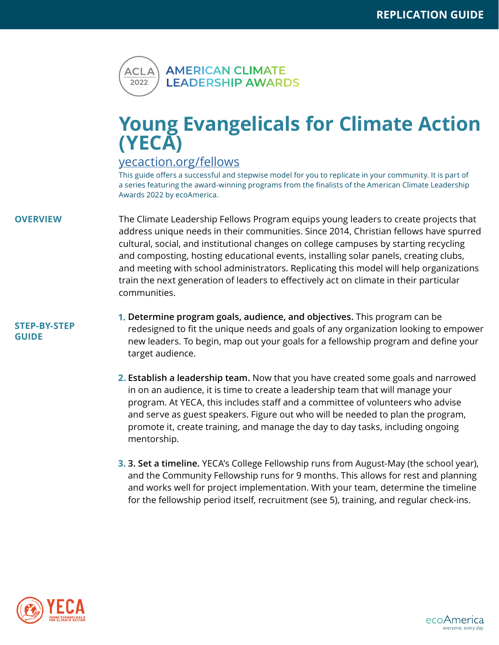

## **Young Evangelicals for Climate Action (YECA)**

## <yecaction.org/fellows>

This guide offers a successful and stepwise model for you to replicate in your community. It is part of a series featuring the award-winning programs from the finalists of the American Climate Leadership Awards 2022 by ecoAmerica.

**OVERVIEW** The Climate Leadership Fellows Program equips young leaders to create projects that address unique needs in their communities. Since 2014, Christian fellows have spurred cultural, social, and institutional changes on college campuses by starting recycling and composting, hosting educational events, installing solar panels, creating clubs, and meeting with school administrators. Replicating this model will help organizations train the next generation of leaders to effectively act on climate in their particular communities.

## **STEP-BY-STEP GUIDE**

- **Determine program goals, audience, and objectives.** This program can be **1.** redesigned to fit the unique needs and goals of any organization looking to empower new leaders. To begin, map out your goals for a fellowship program and define your target audience.
- **Establish a leadership team.** Now that you have created some goals and narrowed **2.** in on an audience, it is time to create a leadership team that will manage your program. At YECA, this includes staff and a committee of volunteers who advise and serve as guest speakers. Figure out who will be needed to plan the program, promote it, create training, and manage the day to day tasks, including ongoing mentorship.
- **3. Set a timeline.** YECA's College Fellowship runs from August-May (the school year), **3.**and the Community Fellowship runs for 9 months. This allows for rest and planning and works well for project implementation. With your team, determine the timeline for the fellowship period itself, recruitment (see 5), training, and regular check-ins.



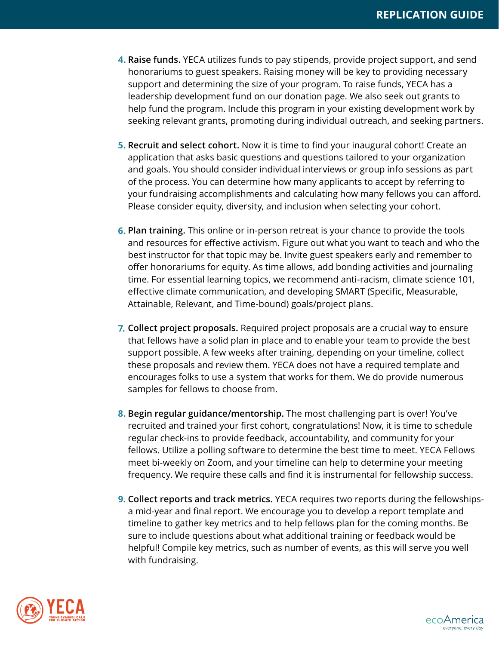- **Raise funds.** YECA utilizes funds to pay stipends, provide project support, and send **4.**honorariums to guest speakers. Raising money will be key to providing necessary support and determining the size of your program. To raise funds, YECA has a leadership development fund on our donation page. We also seek out grants to help fund the program. Include this program in your existing development work by seeking relevant grants, promoting during individual outreach, and seeking partners.
- **Recruit and select cohort.** Now it is time to find your inaugural cohort! Create an **5.** application that asks basic questions and questions tailored to your organization and goals. You should consider individual interviews or group info sessions as part of the process. You can determine how many applicants to accept by referring to your fundraising accomplishments and calculating how many fellows you can afford. Please consider equity, diversity, and inclusion when selecting your cohort.
- **Plan training.** This online or in-person retreat is your chance to provide the tools **6.** and resources for effective activism. Figure out what you want to teach and who the best instructor for that topic may be. Invite guest speakers early and remember to offer honorariums for equity. As time allows, add bonding activities and journaling time. For essential learning topics, we recommend anti-racism, climate science 101, effective climate communication, and developing SMART (Specific, Measurable, Attainable, Relevant, and Time-bound) goals/project plans.
- **Collect project proposals.** Required project proposals are a crucial way to ensure **7.** that fellows have a solid plan in place and to enable your team to provide the best support possible. A few weeks after training, depending on your timeline, collect these proposals and review them. YECA does not have a required template and encourages folks to use a system that works for them. We do provide numerous samples for fellows to choose from.
- **Begin regular guidance/mentorship.** The most challenging part is over! You've **8.** recruited and trained your first cohort, congratulations! Now, it is time to schedule regular check-ins to provide feedback, accountability, and community for your fellows. Utilize a polling software to determine the best time to meet. YECA Fellows meet bi-weekly on Zoom, and your timeline can help to determine your meeting frequency. We require these calls and find it is instrumental for fellowship success.
- **Collect reports and track metrics.** YECA requires two reports during the fellowships-**9.** a mid-year and final report. We encourage you to develop a report template and timeline to gather key metrics and to help fellows plan for the coming months. Be sure to include questions about what additional training or feedback would be helpful! Compile key metrics, such as number of events, as this will serve you well with fundraising.